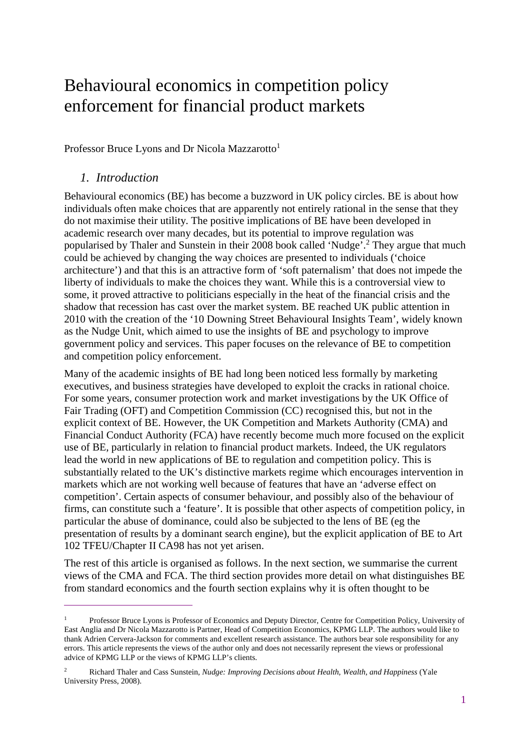# Behavioural economics in competition policy enforcement for financial product markets

Professor Bruce Lyons and Dr Nicola Mazzarotto<sup>1</sup>

## *1. Introduction*

 $\overline{a}$ 

Behavioural economics (BE) has become a buzzword in UK policy circles. BE is about how individuals often make choices that are apparently not entirely rational in the sense that they do not maximise their utility. The positive implications of BE have been developed in academic research over many decades, but its potential to improve regulation was popularised by Thaler and Sunstein in their 2008 book called 'Nudge'.<sup>2</sup> They argue that much could be achieved by changing the way choices are presented to individuals ('choice architecture') and that this is an attractive form of 'soft paternalism' that does not impede the liberty of individuals to make the choices they want. While this is a controversial view to some, it proved attractive to politicians especially in the heat of the financial crisis and the shadow that recession has cast over the market system. BE reached UK public attention in 2010 with the creation of the '10 Downing Street Behavioural Insights Team', widely known as the Nudge Unit, which aimed to use the insights of BE and psychology to improve government policy and services. This paper focuses on the relevance of BE to competition and competition policy enforcement.

Many of the academic insights of BE had long been noticed less formally by marketing executives, and business strategies have developed to exploit the cracks in rational choice. For some years, consumer protection work and market investigations by the UK Office of Fair Trading (OFT) and Competition Commission (CC) recognised this, but not in the explicit context of BE. However, the UK Competition and Markets Authority (CMA) and Financial Conduct Authority (FCA) have recently become much more focused on the explicit use of BE, particularly in relation to financial product markets. Indeed, the UK regulators lead the world in new applications of BE to regulation and competition policy. This is substantially related to the UK's distinctive markets regime which encourages intervention in markets which are not working well because of features that have an 'adverse effect on competition'. Certain aspects of consumer behaviour, and possibly also of the behaviour of firms, can constitute such a 'feature'. It is possible that other aspects of competition policy, in particular the abuse of dominance, could also be subjected to the lens of BE (eg the presentation of results by a dominant search engine), but the explicit application of BE to Art 102 TFEU/Chapter II CA98 has not yet arisen.

The rest of this article is organised as follows. In the next section, we summarise the current views of the CMA and FCA. The third section provides more detail on what distinguishes BE from standard economics and the fourth section explains why it is often thought to be

<sup>1</sup> Professor Bruce Lyons is Professor of Economics and Deputy Director, Centre for Competition Policy, University of East Anglia and Dr Nicola Mazzarotto is Partner, Head of Competition Economics, KPMG LLP. The authors would like to thank Adrien Cervera-Jackson for comments and excellent research assistance. The authors bear sole responsibility for any errors. This article represents the views of the author only and does not necessarily represent the views or professional advice of KPMG LLP or the views of KPMG LLP's clients.

<sup>2</sup> Richard Thaler and Cass Sunstein, *Nudge: Improving Decisions about Health, Wealth, and Happiness* (Yale University Press, 2008).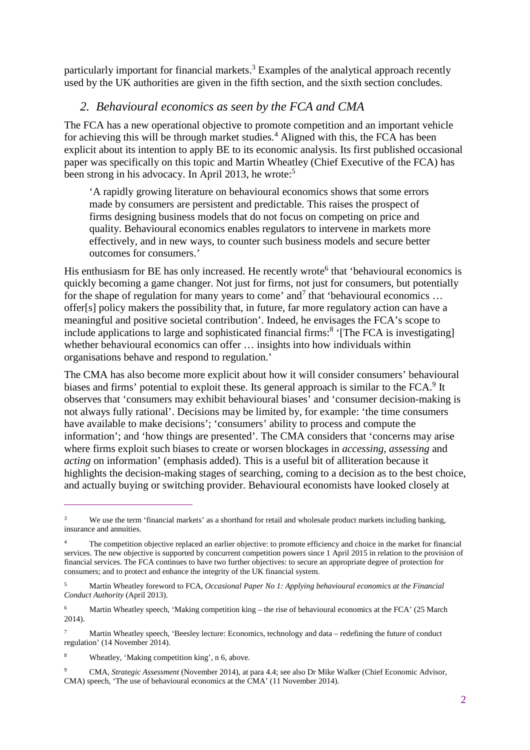particularly important for financial markets.<sup>3</sup> Examples of the analytical approach recently used by the UK authorities are given in the fifth section, and the sixth section concludes.

## *2. Behavioural economics as seen by the FCA and CMA*

The FCA has a new operational objective to promote competition and an important vehicle for achieving this will be through market studies.<sup>4</sup> Aligned with this, the FCA has been explicit about its intention to apply BE to its economic analysis. Its first published occasional paper was specifically on this topic and Martin Wheatley (Chief Executive of the FCA) has been strong in his advocacy. In April 2013, he wrote:<sup>5</sup>

'A rapidly growing literature on behavioural economics shows that some errors made by consumers are persistent and predictable. This raises the prospect of firms designing business models that do not focus on competing on price and quality. Behavioural economics enables regulators to intervene in markets more effectively, and in new ways, to counter such business models and secure better outcomes for consumers.'

His enthusiasm for BE has only increased. He recently wrote<sup>6</sup> that 'behavioural economics is quickly becoming a game changer. Not just for firms, not just for consumers, but potentially for the shape of regulation for many years to come' and<sup>7</sup> that 'behavioural economics ... offer[s] policy makers the possibility that, in future, far more regulatory action can have a meaningful and positive societal contribution'. Indeed, he envisages the FCA's scope to include applications to large and sophisticated financial firms:<sup>8</sup> '[The FCA is investigating] whether behavioural economics can offer  $\ldots$  insights into how individuals within organisations behave and respond to regulation.'

The CMA has also become more explicit about how it will consider consumers' behavioural biases and firms' potential to exploit these. Its general approach is similar to the FCA.<sup>9</sup> It observes that 'consumers may exhibit behavioural biases' and 'consumer decision-making is not always fully rational'. Decisions may be limited by, for example: 'the time consumers have available to make decisions'; 'consumers' ability to process and compute the information'; and 'how things are presented'. The CMA considers that 'concerns may arise where firms exploit such biases to create or worsen blockages in *accessing*, *assessing* and *acting* on information' (emphasis added). This is a useful bit of alliteration because it highlights the decision-making stages of searching, coming to a decision as to the best choice, and actually buying or switching provider. Behavioural economists have looked closely at

<sup>3</sup> We use the term 'financial markets' as a shorthand for retail and wholesale product markets including banking, insurance and annuities.

<sup>4</sup> The competition objective replaced an earlier objective: to promote efficiency and choice in the market for financial services. The new objective is supported by concurrent competition powers since 1 April 2015 in relation to the provision of financial services. The FCA continues to have two further objectives: to secure an appropriate degree of protection for consumers; and to protect and enhance the integrity of the UK financial system.

<sup>5</sup> Martin Wheatley foreword to FCA, *Occasional Paper No 1: Applying behavioural economics at the Financial Conduct Authority* (April 2013).

<sup>6</sup> Martin Wheatley speech, 'Making competition king – the rise of behavioural economics at the FCA' (25 March) 2014).

<sup>7</sup> Martin Wheatley speech, 'Beesley lecture: Economics, technology and data – redefining the future of conduct regulation' (14 November 2014).

<sup>8</sup> Wheatley, 'Making competition king', n 6, above.

<sup>9</sup> CMA, *Strategic Assessment* (November 2014), at para 4.4; see also Dr Mike Walker (Chief Economic Advisor, CMA) speech, 'The use of behavioural economics at the CMA' (11 November 2014).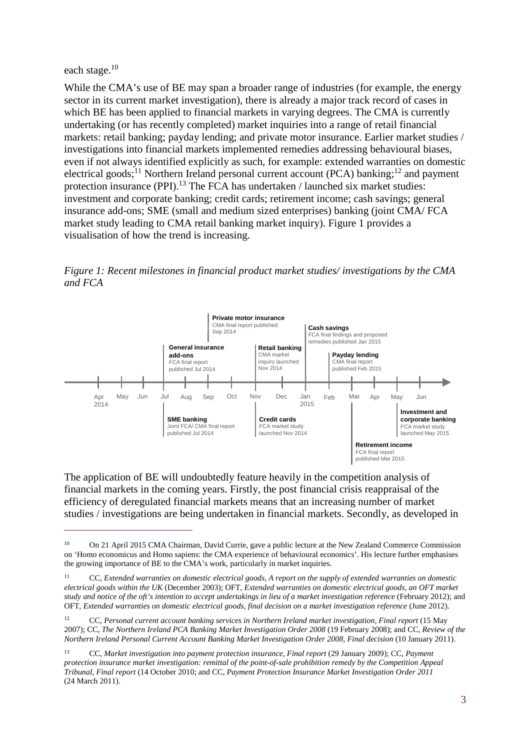#### each stage. $^{10}$

 $\overline{a}$ 

While the CMA's use of BE may span a broader range of industries (for example, the energy sector in its current market investigation), there is already a major track record of cases in which BE has been applied to financial markets in varying degrees. The CMA is currently undertaking (or has recently completed) market inquiries into a range of retail financial markets: retail banking; payday lending; and private motor insurance. Earlier market studies / investigations into financial markets implemented remedies addressing behavioural biases, even if not always identified explicitly as such, for example: extended warranties on domestic electrical goods;<sup>11</sup> Northern Ireland personal current account (PCA) banking;<sup>12</sup> and payment protection insurance (PPI).<sup>13</sup> The FCA has undertaken / launched six market studies: investment and corporate banking; credit cards; retirement income; cash savings; general insurance add-ons; SME (small and medium sized enterprises) banking (joint CMA/ FCA market study leading to CMA retail banking market inquiry). Figure 1 provides a visualisation of how the trend is increasing.

*Figure 1: Recent milestones in financial product market studies/ investigations by the CMA and FCA* 



The application of BE will undoubtedly feature heavily in the competition analysis of financial markets in the coming years. Firstly, the post financial crisis reappraisal of the efficiency of deregulated financial markets means that an increasing number of market studies / investigations are being undertaken in financial markets. Secondly, as developed in

<sup>10</sup> On 21 April 2015 CMA Chairman, David Currie, gave a public lecture at the New Zealand Commerce Commission on 'Homo economicus and Homo sapiens: the CMA experience of behavioural economics'. His lecture further emphasises the growing importance of BE to the CMA's work, particularly in market inquiries.

<sup>11</sup> CC, *Extended warranties on domestic electrical goods, A report on the supply of extended warranties on domestic electrical goods within the UK* (December 2003); OFT, *Extended warranties on domestic electrical goods, an OFT market study and notice of the oft's intention to accept undertakings in lieu of a market investigation reference* (February 2012); and OFT, *Extended warranties on domestic electrical goods, final decision on a market investigation reference* (June 2012).

<sup>12</sup> CC, *Personal current account banking services in Northern Ireland market investigation, Final report* (15 May 2007); CC, *The Northern Ireland PCA Banking Market Investigation Order 2008* (19 February 2008); and CC, *Review of the Northern Ireland Personal Current Account Banking Market Investigation Order 2008, Final decision* (10 January 2011).

<sup>13</sup> CC, *Market investigation into payment protection insurance, Final report* (29 January 2009); CC, *Payment protection insurance market investigation: remittal of the point-of-sale prohibition remedy by the Competition Appeal Tribunal, Final report* (14 October 2010; and CC, *Payment Protection Insurance Market Investigation Order 2011* (24 March 2011).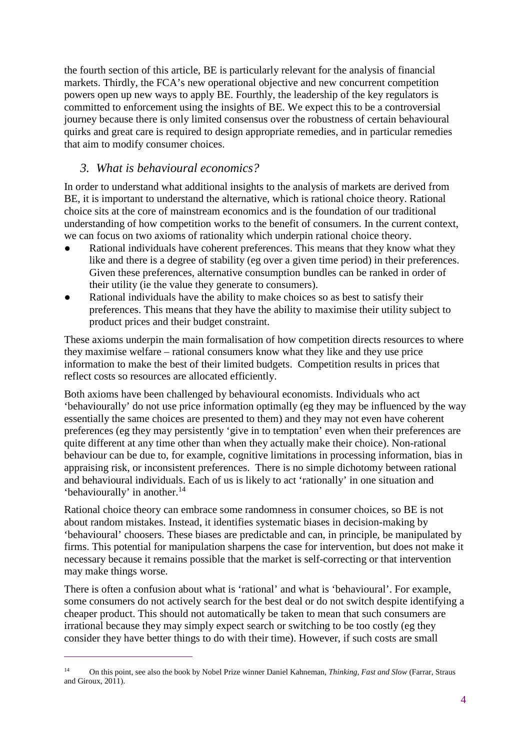the fourth section of this article, BE is particularly relevant for the analysis of financial markets. Thirdly, the FCA's new operational objective and new concurrent competition powers open up new ways to apply BE. Fourthly, the leadership of the key regulators is committed to enforcement using the insights of BE. We expect this to be a controversial journey because there is only limited consensus over the robustness of certain behavioural quirks and great care is required to design appropriate remedies, and in particular remedies that aim to modify consumer choices.

## *3. What is behavioural economics?*

In order to understand what additional insights to the analysis of markets are derived from BE, it is important to understand the alternative, which is rational choice theory. Rational choice sits at the core of mainstream economics and is the foundation of our traditional understanding of how competition works to the benefit of consumers. In the current context, we can focus on two axioms of rationality which underpin rational choice theory.

- Rational individuals have coherent preferences. This means that they know what they like and there is a degree of stability (eg over a given time period) in their preferences. Given these preferences, alternative consumption bundles can be ranked in order of their utility (ie the value they generate to consumers).
- Rational individuals have the ability to make choices so as best to satisfy their preferences. This means that they have the ability to maximise their utility subject to product prices and their budget constraint.

These axioms underpin the main formalisation of how competition directs resources to where they maximise welfare – rational consumers know what they like and they use price information to make the best of their limited budgets. Competition results in prices that reflect costs so resources are allocated efficiently.

Both axioms have been challenged by behavioural economists. Individuals who act 'behaviourally' do not use price information optimally (eg they may be influenced by the way essentially the same choices are presented to them) and they may not even have coherent preferences (eg they may persistently 'give in to temptation' even when their preferences are quite different at any time other than when they actually make their choice). Non-rational behaviour can be due to, for example, cognitive limitations in processing information, bias in appraising risk, or inconsistent preferences. There is no simple dichotomy between rational and behavioural individuals. Each of us is likely to act 'rationally' in one situation and 'behaviourally' in another.<sup>14</sup>

Rational choice theory can embrace some randomness in consumer choices, so BE is not about random mistakes. Instead, it identifies systematic biases in decision-making by 'behavioural' choosers. These biases are predictable and can, in principle, be manipulated by firms. This potential for manipulation sharpens the case for intervention, but does not make it necessary because it remains possible that the market is self-correcting or that intervention may make things worse.

There is often a confusion about what is 'rational' and what is 'behavioural'. For example, some consumers do not actively search for the best deal or do not switch despite identifying a cheaper product. This should not automatically be taken to mean that such consumers are irrational because they may simply expect search or switching to be too costly (eg they consider they have better things to do with their time). However, if such costs are small

<sup>14</sup> On this point, see also the book by Nobel Prize winner Daniel Kahneman, *Thinking, Fast and Slow* (Farrar, Straus and Giroux,  $2011$ ).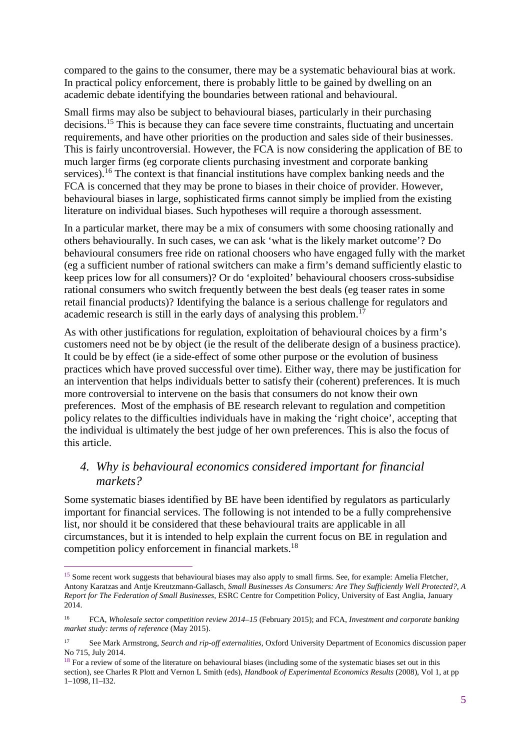compared to the gains to the consumer, there may be a systematic behavioural bias at work. In practical policy enforcement, there is probably little to be gained by dwelling on an academic debate identifying the boundaries between rational and behavioural.

Small firms may also be subject to behavioural biases, particularly in their purchasing decisions.<sup>15</sup> This is because they can face severe time constraints, fluctuating and uncertain requirements, and have other priorities on the production and sales side of their businesses. This is fairly uncontroversial. However, the FCA is now considering the application of BE to much larger firms (eg corporate clients purchasing investment and corporate banking services).<sup>16</sup> The context is that financial institutions have complex banking needs and the FCA is concerned that they may be prone to biases in their choice of provider. However, behavioural biases in large, sophisticated firms cannot simply be implied from the existing literature on individual biases. Such hypotheses will require a thorough assessment.

In a particular market, there may be a mix of consumers with some choosing rationally and others behaviourally. In such cases, we can ask 'what is the likely market outcome'? Do behavioural consumers free ride on rational choosers who have engaged fully with the market (eg a sufficient number of rational switchers can make a firm's demand sufficiently elastic to keep prices low for all consumers)? Or do 'exploited' behavioural choosers cross-subsidise rational consumers who switch frequently between the best deals (eg teaser rates in some retail financial products)? Identifying the balance is a serious challenge for regulators and academic research is still in the early days of analysing this problem.<sup>17</sup>

As with other justifications for regulation, exploitation of behavioural choices by a firm's customers need not be by object (ie the result of the deliberate design of a business practice). It could be by effect (ie a side-effect of some other purpose or the evolution of business practices which have proved successful over time). Either way, there may be justification for an intervention that helps individuals better to satisfy their (coherent) preferences. It is much more controversial to intervene on the basis that consumers do not know their own preferences. Most of the emphasis of BE research relevant to regulation and competition policy relates to the difficulties individuals have in making the 'right choice', accepting that the individual is ultimately the best judge of her own preferences. This is also the focus of this article.

# *4. Why is behavioural economics considered important for financial markets?*

Some systematic biases identified by BE have been identified by regulators as particularly important for financial services. The following is not intended to be a fully comprehensive list, nor should it be considered that these behavioural traits are applicable in all circumstances, but it is intended to help explain the current focus on BE in regulation and competition policy enforcement in financial markets.<sup>18</sup>

<sup>&</sup>lt;sup>15</sup> Some recent work suggests that behavioural biases may also apply to small firms. See, for example: Amelia Fletcher, Antony Karatzas and Antje Kreutzmann-Gallasch, *Small Businesses As Consumers: Are They Sufficiently Well Protected?, A Report for The Federation of Small Businesses*, ESRC Centre for Competition Policy, University of East Anglia, January 2014.

<sup>16</sup> FCA, *Wholesale sector competition review 2014–15* (February 2015); and FCA, *Investment and corporate banking market study: terms of reference* (May 2015).

<sup>17</sup> See Mark Armstrong, *Search and rip-off externalities*, Oxford University Department of Economics discussion paper No 715, July 2014.

 $18$  For a review of some of the literature on behavioural biases (including some of the systematic biases set out in this section), see Charles R Plott and Vernon L Smith (eds), *Handbook of Experimental Economics Results* (2008), Vol 1, at pp 1–1098, I1–I32.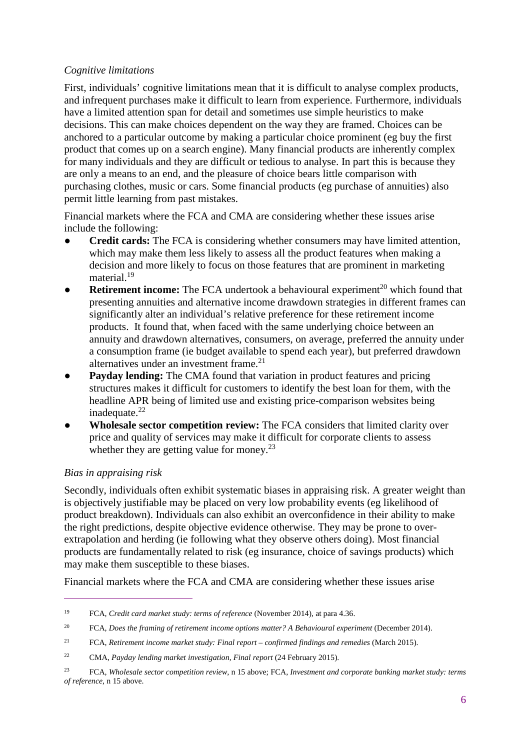#### *Cognitive limitations*

First, individuals' cognitive limitations mean that it is difficult to analyse complex products, and infrequent purchases make it difficult to learn from experience. Furthermore, individuals have a limited attention span for detail and sometimes use simple heuristics to make decisions. This can make choices dependent on the way they are framed. Choices can be anchored to a particular outcome by making a particular choice prominent (eg buy the first product that comes up on a search engine). Many financial products are inherently complex for many individuals and they are difficult or tedious to analyse. In part this is because they are only a means to an end, and the pleasure of choice bears little comparison with purchasing clothes, music or cars. Some financial products (eg purchase of annuities) also permit little learning from past mistakes.

Financial markets where the FCA and CMA are considering whether these issues arise include the following:

- **Credit cards:** The FCA is considering whether consumers may have limited attention, which may make them less likely to assess all the product features when making a decision and more likely to focus on those features that are prominent in marketing material.<sup>19</sup>
- **Retirement income:** The FCA undertook a behavioural experiment<sup>20</sup> which found that presenting annuities and alternative income drawdown strategies in different frames can significantly alter an individual's relative preference for these retirement income products. It found that, when faced with the same underlying choice between an annuity and drawdown alternatives, consumers, on average, preferred the annuity under a consumption frame (ie budget available to spend each year), but preferred drawdown alternatives under an investment frame.<sup>21</sup>
- **Payday lending:** The CMA found that variation in product features and pricing structures makes it difficult for customers to identify the best loan for them, with the headline APR being of limited use and existing price-comparison websites being inadequate. $22$
- **Wholesale sector competition review:** The FCA considers that limited clarity over price and quality of services may make it difficult for corporate clients to assess whether they are getting value for money.<sup>23</sup>

#### *Bias in appraising risk*

 $\overline{a}$ 

Secondly, individuals often exhibit systematic biases in appraising risk. A greater weight than is objectively justifiable may be placed on very low probability events (eg likelihood of product breakdown). Individuals can also exhibit an overconfidence in their ability to make the right predictions, despite objective evidence otherwise. They may be prone to overextrapolation and herding (ie following what they observe others doing). Most financial products are fundamentally related to risk (eg insurance, choice of savings products) which may make them susceptible to these biases.

Financial markets where the FCA and CMA are considering whether these issues arise

<sup>19</sup> FCA, *Credit card market study: terms of reference* (November 2014), at para 4.36.

<sup>&</sup>lt;sup>20</sup> FCA, *Does the framing of retirement income options matter? A Behavioural experiment* (December 2014).

<sup>21</sup> FCA, *Retirement income market study: Final report – confirmed findings and remedies* (March 2015).

<sup>22</sup> CMA, *Payday lending market investigation, Final report* (24 February 2015).

<sup>23</sup> FCA, *Wholesale sector competition review*, n 15 above; FCA, *Investment and corporate banking market study: terms of reference*, n 15 above.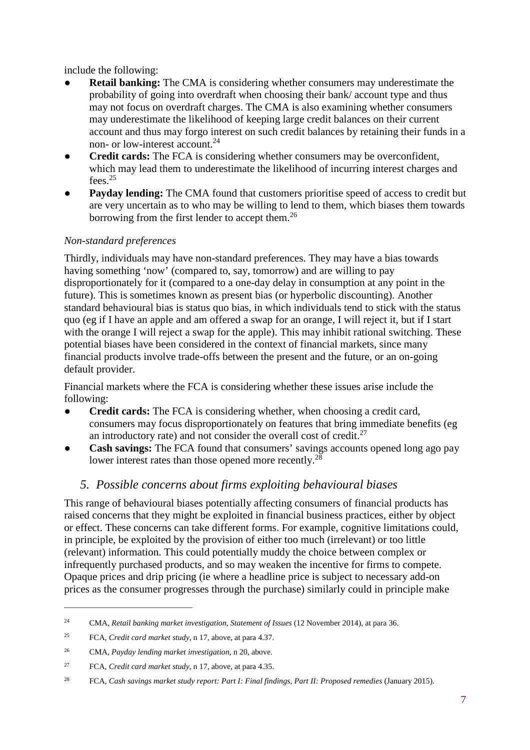include the following:

- **Retail banking:** The CMA is considering whether consumers may underestimate the probability of going into overdraft when choosing their bank/ account type and thus may not focus on overdraft charges. The CMA is also examining whether consumers may underestimate the likelihood of keeping large credit balances on their current account and thus may forgo interest on such credit balances by retaining their funds in a non- or low-interest account.<sup>24</sup>
- **Credit cards:** The FCA is considering whether consumers may be overconfident, which may lead them to underestimate the likelihood of incurring interest charges and fees. $25$
- **Payday lending:** The CMA found that customers prioritise speed of access to credit but are very uncertain as to who may be willing to lend to them, which biases them towards borrowing from the first lender to accept them.<sup>26</sup>

## *Non-standard preferences*

Thirdly, individuals may have non-standard preferences. They may have a bias towards having something 'now' (compared to, say, tomorrow) and are willing to pay disproportionately for it (compared to a one-day delay in consumption at any point in the future). This is sometimes known as present bias (or hyperbolic discounting). Another standard behavioural bias is status quo bias, in which individuals tend to stick with the status quo (eg if I have an apple and am offered a swap for an orange, I will reject it, but if I start with the orange I will reject a swap for the apple). This may inhibit rational switching. These potential biases have been considered in the context of financial markets, since many financial products involve trade-offs between the present and the future, or an on-going default provider.

Financial markets where the FCA is considering whether these issues arise include the following:

- **Credit cards:** The FCA is considering whether, when choosing a credit card, consumers may focus disproportionately on features that bring immediate benefits (eg an introductory rate) and not consider the overall cost of credit. $27$
- **Cash savings:** The FCA found that consumers' savings accounts opened long ago pay lower interest rates than those opened more recently.<sup>28</sup>

# *5. Possible concerns about firms exploiting behavioural biases*

This range of behavioural biases potentially affecting consumers of financial products has raised concerns that they might be exploited in financial business practices, either by object or effect. These concerns can take different forms. For example, cognitive limitations could, in principle, be exploited by the provision of either too much (irrelevant) or too little (relevant) information. This could potentially muddy the choice between complex or infrequently purchased products, and so may weaken the incentive for firms to compete. Opaque prices and drip pricing (ie where a headline price is subject to necessary add-on prices as the consumer progresses through the purchase) similarly could in principle make

<sup>24</sup> CMA, *Retail banking market investigation, Statement of Issues* (12 November 2014), at para 36.

<sup>25</sup> FCA, *Credit card market study*, n 17, above, at para 4.37.

<sup>26</sup> CMA, *Payday lending market investigation*, n 20, above.

<sup>27</sup> FCA, *Credit card market study*, n 17, above, at para 4.35.

<sup>28</sup> FCA, *Cash savings market study report: Part I: Final findings, Part II: Proposed remedies* (January 2015).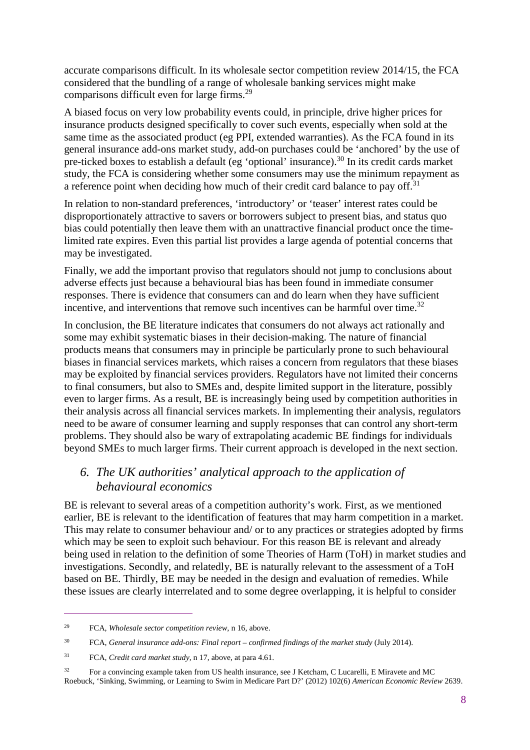accurate comparisons difficult. In its wholesale sector competition review 2014/15, the FCA considered that the bundling of a range of wholesale banking services might make comparisons difficult even for large firms.<sup>29</sup>

A biased focus on very low probability events could, in principle, drive higher prices for insurance products designed specifically to cover such events, especially when sold at the same time as the associated product (eg PPI, extended warranties). As the FCA found in its general insurance add-ons market study, add-on purchases could be 'anchored' by the use of pre-ticked boxes to establish a default (eg 'optional' insurance).<sup>30</sup> In its credit cards market study, the FCA is considering whether some consumers may use the minimum repayment as a reference point when deciding how much of their credit card balance to pay off.<sup>31</sup>

In relation to non-standard preferences, 'introductory' or 'teaser' interest rates could be disproportionately attractive to savers or borrowers subject to present bias, and status quo bias could potentially then leave them with an unattractive financial product once the timelimited rate expires. Even this partial list provides a large agenda of potential concerns that may be investigated.

Finally, we add the important proviso that regulators should not jump to conclusions about adverse effects just because a behavioural bias has been found in immediate consumer responses. There is evidence that consumers can and do learn when they have sufficient incentive, and interventions that remove such incentives can be harmful over time.<sup>32</sup>

In conclusion, the BE literature indicates that consumers do not always act rationally and some may exhibit systematic biases in their decision-making. The nature of financial products means that consumers may in principle be particularly prone to such behavioural biases in financial services markets, which raises a concern from regulators that these biases may be exploited by financial services providers. Regulators have not limited their concerns to final consumers, but also to SMEs and, despite limited support in the literature, possibly even to larger firms. As a result, BE is increasingly being used by competition authorities in their analysis across all financial services markets. In implementing their analysis, regulators need to be aware of consumer learning and supply responses that can control any short-term problems. They should also be wary of extrapolating academic BE findings for individuals beyond SMEs to much larger firms. Their current approach is developed in the next section.

# *6. The UK authorities' analytical approach to the application of behavioural economics*

BE is relevant to several areas of a competition authority's work. First, as we mentioned earlier, BE is relevant to the identification of features that may harm competition in a market. This may relate to consumer behaviour and/ or to any practices or strategies adopted by firms which may be seen to exploit such behaviour. For this reason BE is relevant and already being used in relation to the definition of some Theories of Harm (ToH) in market studies and investigations. Secondly, and relatedly, BE is naturally relevant to the assessment of a ToH based on BE. Thirdly, BE may be needed in the design and evaluation of remedies. While these issues are clearly interrelated and to some degree overlapping, it is helpful to consider

<sup>29</sup> FCA, *Wholesale sector competition review*, n 16, above.

<sup>30</sup> FCA, *General insurance add-ons: Final report – confirmed findings of the market study* (July 2014).

<sup>31</sup> FCA, *Credit card market study*, n 17, above, at para 4.61.

<sup>&</sup>lt;sup>32</sup> For a convincing example taken from US health insurance, see J Ketcham, C Lucarelli, E Miravete and MC Roebuck, 'Sinking, Swimming, or Learning to Swim in Medicare Part D?' (2012) 102(6) *American Economic Review* 2639.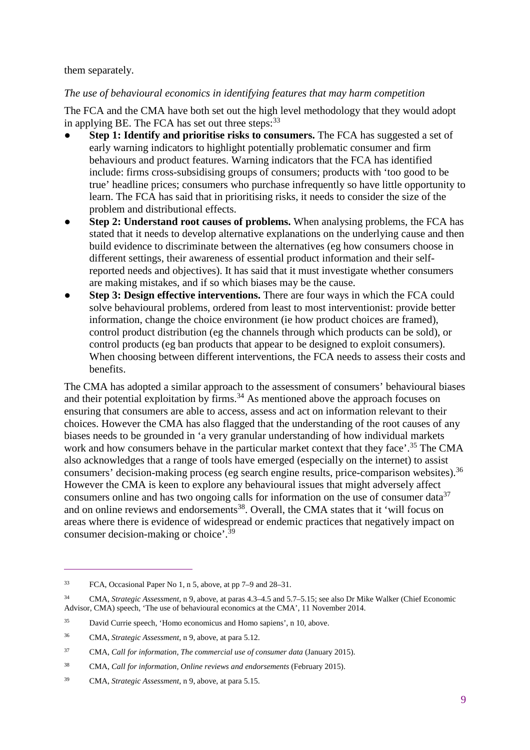them separately.

#### *The use of behavioural economics in identifying features that may harm competition*

The FCA and the CMA have both set out the high level methodology that they would adopt in applying BE. The FCA has set out three steps:<sup>33</sup>

- **Step 1: Identify and prioritise risks to consumers.** The FCA has suggested a set of early warning indicators to highlight potentially problematic consumer and firm behaviours and product features. Warning indicators that the FCA has identified include: firms cross-subsidising groups of consumers; products with 'too good to be true' headline prices; consumers who purchase infrequently so have little opportunity to learn. The FCA has said that in prioritising risks, it needs to consider the size of the problem and distributional effects.
- **Step 2: Understand root causes of problems.** When analysing problems, the FCA has stated that it needs to develop alternative explanations on the underlying cause and then build evidence to discriminate between the alternatives (eg how consumers choose in different settings, their awareness of essential product information and their selfreported needs and objectives). It has said that it must investigate whether consumers are making mistakes, and if so which biases may be the cause.
- **Step 3: Design effective interventions.** There are four ways in which the FCA could solve behavioural problems, ordered from least to most interventionist: provide better information, change the choice environment (ie how product choices are framed), control product distribution (eg the channels through which products can be sold), or control products (eg ban products that appear to be designed to exploit consumers). When choosing between different interventions, the FCA needs to assess their costs and benefits.

The CMA has adopted a similar approach to the assessment of consumers' behavioural biases and their potential exploitation by  $\lim_{n \to \infty}$  As mentioned above the approach focuses on ensuring that consumers are able to access, assess and act on information relevant to their choices. However the CMA has also flagged that the understanding of the root causes of any biases needs to be grounded in 'a very granular understanding of how individual markets work and how consumers behave in the particular market context that they face'.<sup>35</sup> The CMA also acknowledges that a range of tools have emerged (especially on the internet) to assist consumers' decision-making process (eg search engine results, price-comparison websites).<sup>36</sup> However the CMA is keen to explore any behavioural issues that might adversely affect consumers online and has two ongoing calls for information on the use of consumer data<sup>37</sup> and on online reviews and endorsements<sup>38</sup>. Overall, the CMA states that it 'will focus on areas where there is evidence of widespread or endemic practices that negatively impact on consumer decision-making or choice'.<sup>39</sup>

<sup>33</sup> FCA, Occasional Paper No 1, n 5, above, at pp 7–9 and 28–31.

<sup>34</sup> CMA, *Strategic Assessment*, n 9, above, at paras 4.3–4.5 and 5.7–5.15; see also Dr Mike Walker (Chief Economic Advisor, CMA) speech, 'The use of behavioural economics at the CMA', 11 November 2014.

<sup>35</sup> David Currie speech, 'Homo economicus and Homo sapiens', n 10, above.

<sup>36</sup> CMA, *Strategic Assessment*, n 9, above, at para 5.12.

<sup>37</sup> CMA, *Call for information, The commercial use of consumer data* (January 2015).

<sup>38</sup> CMA, *Call for information, Online reviews and endorsements* (February 2015).

<sup>39</sup> CMA, *Strategic Assessment*, n 9, above, at para 5.15.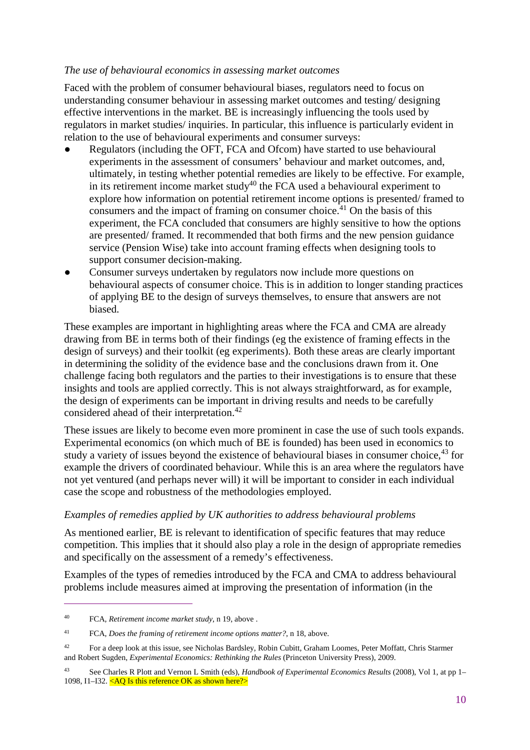#### *The use of behavioural economics in assessing market outcomes*

Faced with the problem of consumer behavioural biases, regulators need to focus on understanding consumer behaviour in assessing market outcomes and testing/ designing effective interventions in the market. BE is increasingly influencing the tools used by regulators in market studies/ inquiries. In particular, this influence is particularly evident in relation to the use of behavioural experiments and consumer surveys:

- Regulators (including the OFT, FCA and Ofcom) have started to use behavioural experiments in the assessment of consumers' behaviour and market outcomes, and, ultimately, in testing whether potential remedies are likely to be effective. For example, in its retirement income market study $40$  the FCA used a behavioural experiment to explore how information on potential retirement income options is presented/ framed to consumers and the impact of framing on consumer choice.<sup> $41$ </sup> On the basis of this experiment, the FCA concluded that consumers are highly sensitive to how the options are presented/ framed. It recommended that both firms and the new pension guidance service (Pension Wise) take into account framing effects when designing tools to support consumer decision-making.
- Consumer surveys undertaken by regulators now include more questions on behavioural aspects of consumer choice. This is in addition to longer standing practices of applying BE to the design of surveys themselves, to ensure that answers are not biased.

These examples are important in highlighting areas where the FCA and CMA are already drawing from BE in terms both of their findings (eg the existence of framing effects in the design of surveys) and their toolkit (eg experiments). Both these areas are clearly important in determining the solidity of the evidence base and the conclusions drawn from it. One challenge facing both regulators and the parties to their investigations is to ensure that these insights and tools are applied correctly. This is not always straightforward, as for example, the design of experiments can be important in driving results and needs to be carefully considered ahead of their interpretation.<sup>42</sup>

These issues are likely to become even more prominent in case the use of such tools expands. Experimental economics (on which much of BE is founded) has been used in economics to study a variety of issues beyond the existence of behavioural biases in consumer choice,<sup>43</sup> for example the drivers of coordinated behaviour. While this is an area where the regulators have not yet ventured (and perhaps never will) it will be important to consider in each individual case the scope and robustness of the methodologies employed.

#### *Examples of remedies applied by UK authorities to address behavioural problems*

As mentioned earlier, BE is relevant to identification of specific features that may reduce competition. This implies that it should also play a role in the design of appropriate remedies and specifically on the assessment of a remedy's effectiveness.

Examples of the types of remedies introduced by the FCA and CMA to address behavioural problems include measures aimed at improving the presentation of information (in the

<sup>40</sup> FCA*, Retirement income market study*, n 19, above .

<sup>41</sup> FCA, *Does the framing of retirement income options matter?*, n 18, above.

<sup>&</sup>lt;sup>42</sup> For a deep look at this issue, see Nicholas Bardsley, Robin Cubitt, Graham Loomes, Peter Moffatt, Chris Starmer and Robert Sugden, *Experimental Economics: Rethinking the Rules* (Princeton University Press), 2009.

<sup>43</sup> See Charles R Plott and Vernon L Smith (eds), *Handbook of Experimental Economics Results* (2008), Vol 1, at pp 1– 1098, I1–I32. <AQ Is this reference OK as shown here?>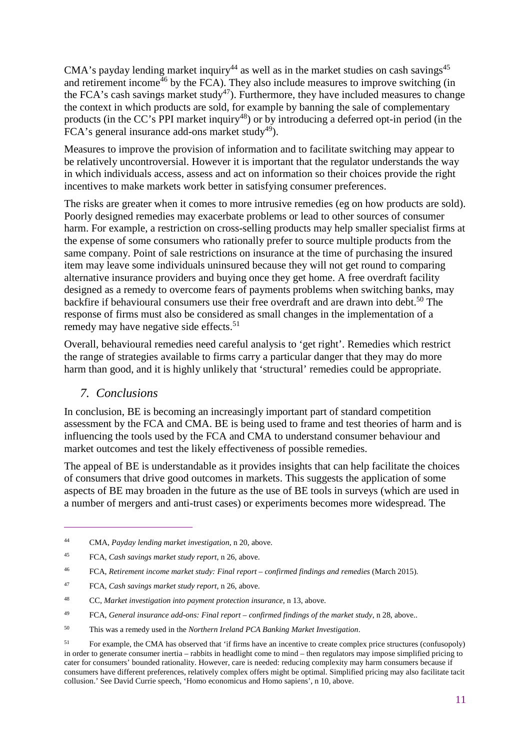CMA's payday lending market inquiry<sup>44</sup> as well as in the market studies on cash savings<sup>45</sup> and retirement income<sup> $46$ </sup> by the FCA). They also include measures to improve switching (in the FCA's cash savings market study<sup>47</sup>). Furthermore, they have included measures to change the context in which products are sold, for example by banning the sale of complementary products (in the CC's PPI market inquiry<sup>48</sup>) or by introducing a deferred opt-in period (in the FCA's general insurance add-ons market study<sup>49</sup>).

Measures to improve the provision of information and to facilitate switching may appear to be relatively uncontroversial. However it is important that the regulator understands the way in which individuals access, assess and act on information so their choices provide the right incentives to make markets work better in satisfying consumer preferences.

The risks are greater when it comes to more intrusive remedies (eg on how products are sold). Poorly designed remedies may exacerbate problems or lead to other sources of consumer harm. For example, a restriction on cross-selling products may help smaller specialist firms at the expense of some consumers who rationally prefer to source multiple products from the same company. Point of sale restrictions on insurance at the time of purchasing the insured item may leave some individuals uninsured because they will not get round to comparing alternative insurance providers and buying once they get home. A free overdraft facility designed as a remedy to overcome fears of payments problems when switching banks, may backfire if behavioural consumers use their free overdraft and are drawn into debt.<sup>50</sup> The response of firms must also be considered as small changes in the implementation of a remedy may have negative side effects.<sup>51</sup>

Overall, behavioural remedies need careful analysis to 'get right'. Remedies which restrict the range of strategies available to firms carry a particular danger that they may do more harm than good, and it is highly unlikely that 'structural' remedies could be appropriate.

## *7. Conclusions*

 $\overline{a}$ 

In conclusion, BE is becoming an increasingly important part of standard competition assessment by the FCA and CMA. BE is being used to frame and test theories of harm and is influencing the tools used by the FCA and CMA to understand consumer behaviour and market outcomes and test the likely effectiveness of possible remedies.

The appeal of BE is understandable as it provides insights that can help facilitate the choices of consumers that drive good outcomes in markets. This suggests the application of some aspects of BE may broaden in the future as the use of BE tools in surveys (which are used in a number of mergers and anti-trust cases) or experiments becomes more widespread. The

<sup>50</sup> This was a remedy used in the *Northern Ireland PCA Banking Market Investigation*.

<sup>44</sup> CMA, *Payday lending market investigation*, n 20, above.

<sup>45</sup> FCA, *Cash savings market study report*, n 26, above.

<sup>46</sup> FCA, *Retirement income market study: Final report – confirmed findings and remedies* (March 2015).

<sup>47</sup> FCA, *Cash savings market study report*, n 26, above.

<sup>48</sup> CC, *Market investigation into payment protection insurance*, n 13, above.

<sup>49</sup> FCA, *General insurance add-ons: Final report – confirmed findings of the market study*, n 28, above..

<sup>&</sup>lt;sup>51</sup> For example, the CMA has observed that 'if firms have an incentive to create complex price structures (confusopoly) in order to generate consumer inertia – rabbits in headlight come to mind – then regulators may impose simplified pricing to cater for consumers' bounded rationality. However, care is needed: reducing complexity may harm consumers because if consumers have different preferences, relatively complex offers might be optimal. Simplified pricing may also facilitate tacit collusion.' See David Currie speech, 'Homo economicus and Homo sapiens', n 10, above.